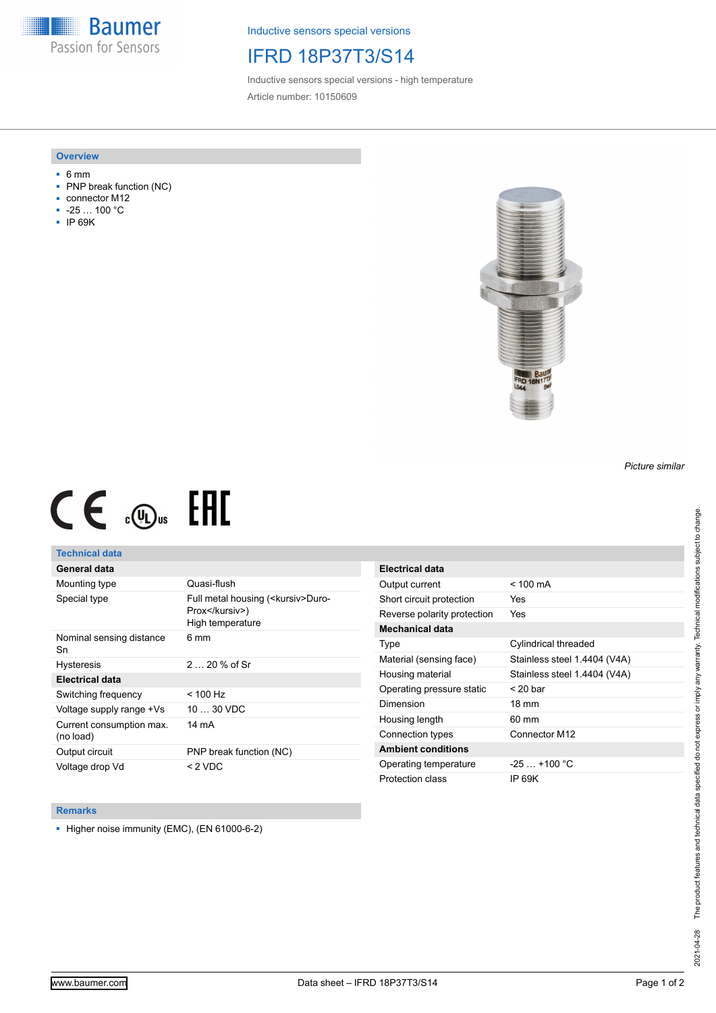**Baumer** Passion for Sensors

Inductive sensors special versions

## IFRD 18P37T3/S14

Inductive sensors special versions - high temperature Article number: 10150609

### **Overview**

- 6 mm
- PNP break function (NC)
- connector M12
- -25 … 100 °C
- IP 69K



# $CE \mathcal{L}$  (Dus FRE

## **Technical data**

## **General data**

| Mounting type                         | Quasi-flush                                                                |
|---------------------------------------|----------------------------------------------------------------------------|
| Special type                          | Full metal housing ( <kursiv>Duro-<br/>Prox</kursiv> )<br>High temperature |
| Nominal sensing distance<br>Sn        | 6 mm                                                                       |
| <b>Hysteresis</b>                     | $220%$ of Sr                                                               |
| <b>Electrical data</b>                |                                                                            |
| Switching frequency                   | $<$ 100 Hz                                                                 |
| Voltage supply range +Vs              | $1030$ VDC                                                                 |
| Current consumption max.<br>(no load) | 14 mA                                                                      |
| Output circuit                        | PNP break function (NC)                                                    |
| Voltage drop Vd                       | $<$ 2 VDC                                                                  |

| Electrical data             |                              |
|-----------------------------|------------------------------|
| Output current              | $< 100 \text{ mA}$           |
| Short circuit protection    | Yes                          |
| Reverse polarity protection | Yes                          |
| Mechanical data             |                              |
| Type                        | Cylindrical threaded         |
| Material (sensing face)     | Stainless steel 1.4404 (V4A) |
| Housing material            | Stainless steel 1.4404 (V4A) |
| Operating pressure static   | $<$ 20 bar                   |
| Dimension                   | $18 \text{ mm}$              |
| Housing length              | 60 mm                        |
| Connection types            | Connector M12                |
| <b>Ambient conditions</b>   |                              |
| Operating temperature       | $-25$ $+100$ °C              |
| Protection class            | IP 69K                       |

#### **Remarks**

■ Higher noise immunity (EMC), (EN 61000-6-2)

*Picture similar*